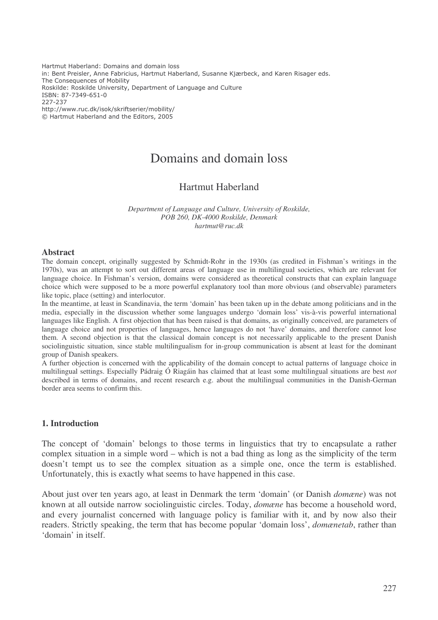Hartmut Haberland: Domains and domain loss in: Bent Preisler, Anne Fabricius, Hartmut Haberland, Susanne Kjærbeck, and Karen Risager eds. The Consequences of Mobility Roskilde: Roskilde University, Department of Language and Culture ISBN: 87-7349-651-0 227-237 http://www.ruc.dk/isok/skriftserier/mobility/ © Hartmut Haberland and the Editors, 2005

# Domains and domain loss

## Hartmut Haberland

*Department of Language and Culture, University of Roskilde, POB 260, DK-4000 Roskilde, Denmark hartmut@ruc.dk*

#### **Abstract**

The domain concept, originally suggested by Schmidt-Rohr in the 1930s (as credited in Fishman's writings in the 1970s), was an attempt to sort out different areas of language use in multilingual societies, which are relevant for language choice. In Fishman's version, domains were considered as theoretical constructs that can explain language choice which were supposed to be a more powerful explanatory tool than more obvious (and observable) parameters like topic, place (setting) and interlocutor.

In the meantime, at least in Scandinavia, the term 'domain' has been taken up in the debate among politicians and in the media, especially in the discussion whether some languages undergo 'domain loss' vis-à-vis powerful international languages like English. A first objection that has been raised is that domains, as originally conceived, are parameters of language choice and not properties of languages, hence languages do not 'have' domains, and therefore cannot lose them. A second objection is that the classical domain concept is not necessarily applicable to the present Danish sociolinguistic situation, since stable multilingualism for in-group communication is absent at least for the dominant group of Danish speakers.

A further objection is concerned with the applicability of the domain concept to actual patterns of language choice in multilingual settings. Especially Pádraig Ó Riagáin has claimed that at least some multilingual situations are best *not* described in terms of domains, and recent research e.g. about the multilingual communities in the Danish-German border area seems to confirm this.

#### **1. Introduction**

The concept of 'domain' belongs to those terms in linguistics that try to encapsulate a rather complex situation in a simple word – which is not a bad thing as long as the simplicity of the term doesn't tempt us to see the complex situation as a simple one, once the term is established. Unfortunately, this is exactly what seems to have happened in this case.

About just over ten years ago, at least in Denmark the term 'domain' (or Danish *domæne*) was not known at all outside narrow sociolinguistic circles. Today, *domæne* has become a household word, and every journalist concerned with language policy is familiar with it, and by now also their readers. Strictly speaking, the term that has become popular 'domain loss', *domænetab*, rather than 'domain' in itself.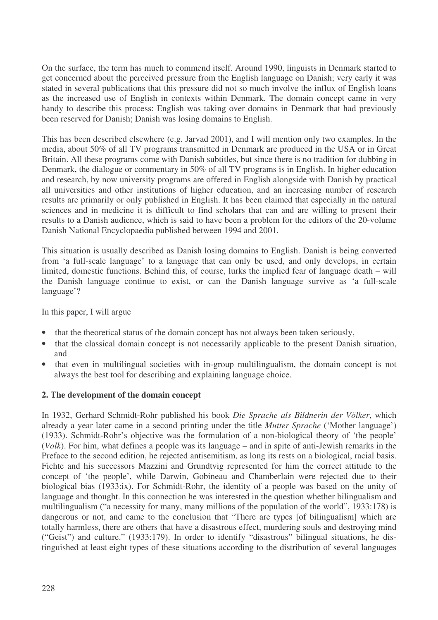On the surface, the term has much to commend itself. Around 1990, linguists in Denmark started to get concerned about the perceived pressure from the English language on Danish; very early it was stated in several publications that this pressure did not so much involve the influx of English loans as the increased use of English in contexts within Denmark. The domain concept came in very handy to describe this process: English was taking over domains in Denmark that had previously been reserved for Danish; Danish was losing domains to English.

This has been described elsewhere (e.g. Jarvad 2001), and I will mention only two examples. In the media, about 50% of all TV programs transmitted in Denmark are produced in the USA or in Great Britain. All these programs come with Danish subtitles, but since there is no tradition for dubbing in Denmark, the dialogue or commentary in 50% of all TV programs is in English. In higher education and research, by now university programs are offered in English alongside with Danish by practical all universities and other institutions of higher education, and an increasing number of research results are primarily or only published in English. It has been claimed that especially in the natural sciences and in medicine it is difficult to find scholars that can and are willing to present their results to a Danish audience, which is said to have been a problem for the editors of the 20-volume Danish National Encyclopaedia published between 1994 and 2001.

This situation is usually described as Danish losing domains to English. Danish is being converted from 'a full-scale language' to a language that can only be used, and only develops, in certain limited, domestic functions. Behind this, of course, lurks the implied fear of language death – will the Danish language continue to exist, or can the Danish language survive as 'a full-scale language'?

In this paper, I will argue

- that the theoretical status of the domain concept has not always been taken seriously,
- that the classical domain concept is not necessarily applicable to the present Danish situation, and
- that even in multilingual societies with in-group multilingualism, the domain concept is not always the best tool for describing and explaining language choice.

#### **2. The development of the domain concept**

In 1932, Gerhard Schmidt-Rohr published his book *Die Sprache als Bildnerin der Völker*, which already a year later came in a second printing under the title *Mutter Sprache* ('Mother language') (1933). Schmidt-Rohr's objective was the formulation of a non-biological theory of 'the people' (*Volk*). For him, what defines a people was its language – and in spite of anti-Jewish remarks in the Preface to the second edition, he rejected antisemitism, as long its rests on a biological, racial basis. Fichte and his successors Mazzini and Grundtvig represented for him the correct attitude to the concept of 'the people', while Darwin, Gobineau and Chamberlain were rejected due to their biological bias (1933:ix). For Schmidt-Rohr, the identity of a people was based on the unity of language and thought. In this connection he was interested in the question whether bilingualism and multilingualism ("a necessity for many, many millions of the population of the world", 1933:178) is dangerous or not, and came to the conclusion that "There are types [of bilingualism] which are totally harmless, there are others that have a disastrous effect, murdering souls and destroying mind ("Geist") and culture." (1933:179). In order to identify "disastrous" bilingual situations, he distinguished at least eight types of these situations according to the distribution of several languages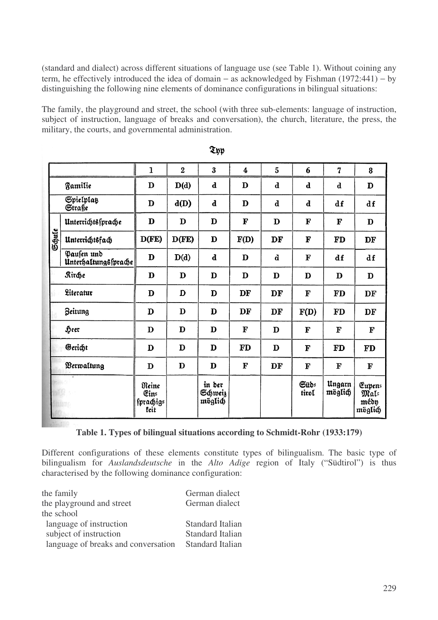(standard and dialect) across different situations of language use (see Table 1). Without coining any term, he effectively introduced the idea of domain − as acknowledged by Fishman (1972:441) − by distinguishing the following nine elements of dominance configurations in bilingual situations:

The family, the playground and street, the school (with three sub-elements: language of instruction, subject of instruction, language of breaks and conversation), the church, literature, the press, the military, the courts, and governmental administration.

|        |                                    | $\mathbf{I}$                       | $\overline{2}$ | 3                            | $\boldsymbol{4}$ | 5           | 6             | $\overline{7}$    | 8                                 |
|--------|------------------------------------|------------------------------------|----------------|------------------------------|------------------|-------------|---------------|-------------------|-----------------------------------|
|        | Familie                            | D                                  | D(d)           | $\mathbf d$                  | D                | $\mathbf d$ | $\mathbf d$   | d                 | D                                 |
|        | Spielplaß<br>Straße                | D                                  | d(D)           | $\mathbf d$                  | D                | $\mathbf d$ | $\mathbf d$   | df                | df                                |
| Schule | Unterrichtssprache                 | D                                  | D              | D                            | F                | D           | $\mathbf F$   | F                 | D                                 |
|        | Unterrichtsfach                    | D(FE)                              | D(FE)          | D                            | F(D)             | DF          | F             | <b>FD</b>         | DF                                |
|        | Pausen und<br>Unterhaltungssprache | D                                  | D(d)           | $\mathbf d$                  | D                | $\mathbf d$ | $\mathbf F$   | df                | df                                |
|        | <b>Rirche</b>                      | D                                  | D              | D                            | D                | D           | D             | D                 | D                                 |
|        | Literatur                          | D                                  | D              | D                            | DF               | DF          | ${\bf F}$     | <b>FD</b>         | DF                                |
|        | <b>Beitung</b>                     | D                                  | D              | D                            | DF               | DF          | F(D)          | <b>FD</b>         | DF                                |
|        | Heer                               | D                                  | D              | D                            | ${\bf F}$        | D           | F             | F                 | F                                 |
|        | Gericht                            | D                                  | D              | D                            | <b>FD</b>        | D           | F             | FD                | FD                                |
|        | Berwaltung                         | D                                  | $\mathbf D$    | $\mathbf D$                  | $\mathbf F$      | DF          | F             | F                 | F                                 |
|        |                                    | Reine<br>Ein=<br>fprachig=<br>feit |                | in der<br>Schweiz<br>möglich |                  |             | Güd=<br>tirol | Ungarn<br>möglich | Eupen:<br>Mal=<br>mébn<br>möglich |

**Thy** 

#### **Table 1. Types of bilingual situations according to Schmidt-Rohr (1933:179)**

Different configurations of these elements constitute types of bilingualism. The basic type of bilingualism for *Auslandsdeutsche* in the *Alto Adige* region of Italy ("Südtirol") is thus characterised by the following dominance configuration:

| the family                          | German dialect          |
|-------------------------------------|-------------------------|
| the playground and street           | German dialect          |
| the school                          |                         |
| language of instruction             | <b>Standard Italian</b> |
| subject of instruction              | <b>Standard Italian</b> |
| language of breaks and conversation | <b>Standard Italian</b> |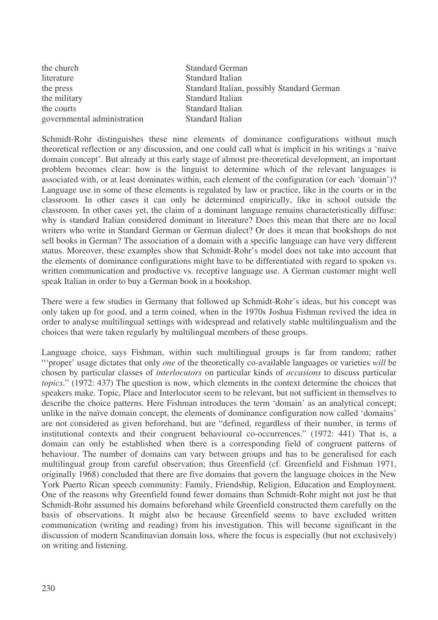the church Standard German literature Standard Italian the military Standard Italian the courts Standard Italian governmental administration Standard Italian

the press Standard Italian, possibly Standard German

Schmidt-Rohr distinguishes these nine elements of dominance configurations without much theoretical reflection or any discussion, and one could call what is implicit in his writings a 'naive domain concept'. But already at this early stage of almost pre-theoretical development, an important problem becomes clear: how is the linguist to determine which of the relevant languages is associated with, or at least dominates within, each element of the configuration (or each 'domain')? Language use in some of these elements is regulated by law or practice, like in the courts or in the classroom. In other cases it can only be determined empirically, like in school outside the classroom. In other cases yet, the claim of a dominant language remains characteristically diffuse: why is standard Italian considered dominant in literature? Does this mean that there are no local writers who write in Standard German or German dialect? Or does it mean that bookshops do not sell books in German? The association of a domain with a specific language can have very different status. Moreover, these examples show that Schmidt-Rohr's model does not take into account that the elements of dominance configurations might have to be differentiated with regard to spoken vs. written communication and productive vs. receptive language use. A German customer might well speak Italian in order to buy a German book in a bookshop.

There were a few studies in Germany that followed up Schmidt-Rohr's ideas, but his concept was only taken up for good, and a term coined, when in the 1970s Joshua Fishman revived the idea in order to analyse multilingual settings with widespread and relatively stable multilingualism and the choices that were taken regularly by multilingual members of these groups.

Language choice, says Fishman, within such multilingual groups is far from random; rather "'proper' usage dictates that only *one* of the theoretically co-available languages or varieties *will* be chosen by particular classes of *interlocutors* on particular kinds of *occasions* to discuss particular *topics*." (1972: 437) The question is now, which elements in the context determine the choices that speakers make. Topic, Place and Interlocutor seem to be relevant, but not sufficient in themselves to describe the choice patterns. Here Fishman introduces the term 'domain' as an analytical concept; unlike in the naïve domain concept, the elements of dominance configuration now called 'domains' are not considered as given beforehand, but are "defined, regardless of their number, in terms of institutional contexts and their congruent behavioural co-occurrences." (1972: 441) That is, a domain can only be established when there is a corresponding field of congruent patterns of behaviour. The number of domains can vary between groups and has to be generalised for each multilingual group from careful observation; thus Greenfield (cf. Greenfield and Fishman 1971, originally 1968) concluded that there are five domains that govern the language choices in the New York Puerto Rican speech community: Family, Friendship, Religion, Education and Employment. One of the reasons why Greenfield found fewer domains than Schmidt-Rohr might not just be that Schmidt-Rohr assumed his domains beforehand while Greenfield constructed them carefully on the basis of observations. It might also be because Greenfield seems to have excluded written communication (writing and reading) from his investigation. This will become significant in the discussion of modern Scandinavian domain loss, where the focus is especially (but not exclusively) on writing and listening.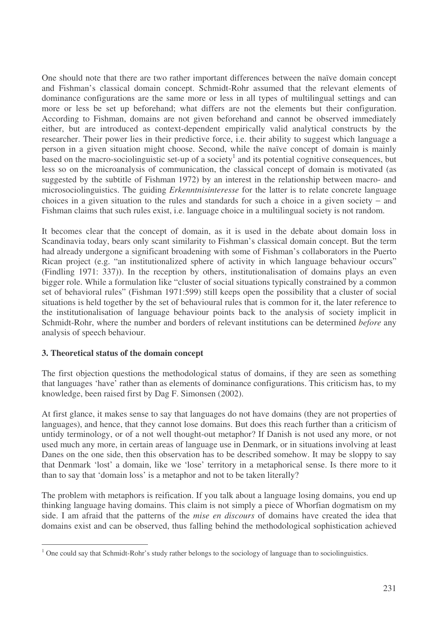One should note that there are two rather important differences between the naïve domain concept and Fishman's classical domain concept. Schmidt-Rohr assumed that the relevant elements of dominance configurations are the same more or less in all types of multilingual settings and can more or less be set up beforehand; what differs are not the elements but their configuration. According to Fishman, domains are not given beforehand and cannot be observed immediately either, but are introduced as context-dependent empirically valid analytical constructs by the researcher. Their power lies in their predictive force, i.e. their ability to suggest which language a person in a given situation might choose. Second, while the naïve concept of domain is mainly based on the macro-sociolinguistic set-up of a society<sup>1</sup> and its potential cognitive consequences, but less so on the microanalysis of communication, the classical concept of domain is motivated (as suggested by the subtitle of Fishman 1972) by an interest in the relationship between macro- and microsociolinguistics. The guiding *Erkenntnisinteresse* for the latter is to relate concrete language choices in a given situation to the rules and standards for such a choice in a given society − and Fishman claims that such rules exist, i.e. language choice in a multilingual society is not random.

It becomes clear that the concept of domain, as it is used in the debate about domain loss in Scandinavia today, bears only scant similarity to Fishman's classical domain concept. But the term had already undergone a significant broadening with some of Fishman's collaborators in the Puerto Rican project (e.g. "an institutionalized sphere of activity in which language behaviour occurs" (Findling 1971: 337)). In the reception by others, institutionalisation of domains plays an even bigger role. While a formulation like "cluster of social situations typically constrained by a common set of behavioral rules" (Fishman 1971:599) still keeps open the possibility that a cluster of social situations is held together by the set of behavioural rules that is common for it, the later reference to the institutionalisation of language behaviour points back to the analysis of society implicit in Schmidt-Rohr, where the number and borders of relevant institutions can be determined *before* any analysis of speech behaviour.

#### **3. Theoretical status of the domain concept**

The first objection questions the methodological status of domains, if they are seen as something that languages 'have' rather than as elements of dominance configurations. This criticism has, to my knowledge, been raised first by Dag F. Simonsen (2002).

At first glance, it makes sense to say that languages do not have domains (they are not properties of languages), and hence, that they cannot lose domains. But does this reach further than a criticism of untidy terminology, or of a not well thought-out metaphor? If Danish is not used any more, or not used much any more, in certain areas of language use in Denmark, or in situations involving at least Danes on the one side, then this observation has to be described somehow. It may be sloppy to say that Denmark 'lost' a domain, like we 'lose' territory in a metaphorical sense. Is there more to it than to say that 'domain loss' is a metaphor and not to be taken literally?

The problem with metaphors is reification. If you talk about a language losing domains, you end up thinking language having domains. This claim is not simply a piece of Whorfian dogmatism on my side. I am afraid that the patterns of the *mise en discours* of domains have created the idea that domains exist and can be observed, thus falling behind the methodological sophistication achieved

<sup>&</sup>lt;sup>1</sup> One could say that Schmidt-Rohr's study rather belongs to the sociology of language than to sociolinguistics.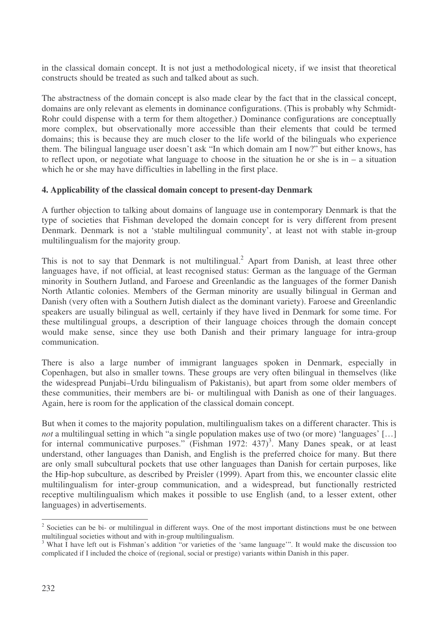in the classical domain concept. It is not just a methodological nicety, if we insist that theoretical constructs should be treated as such and talked about as such.

The abstractness of the domain concept is also made clear by the fact that in the classical concept, domains are only relevant as elements in dominance configurations. (This is probably why Schmidt-Rohr could dispense with a term for them altogether.) Dominance configurations are conceptually more complex, but observationally more accessible than their elements that could be termed domains; this is because they are much closer to the life world of the bilinguals who experience them. The bilingual language user doesn't ask "In which domain am I now?" but either knows, has to reflect upon, or negotiate what language to choose in the situation he or she is in  $-$  a situation which he or she may have difficulties in labelling in the first place.

## **4. Applicability of the classical domain concept to present-day Denmark**

A further objection to talking about domains of language use in contemporary Denmark is that the type of societies that Fishman developed the domain concept for is very different from present Denmark. Denmark is not a 'stable multilingual community', at least not with stable in-group multilingualism for the majority group.

This is not to say that Denmark is not multilingual.<sup>2</sup> Apart from Danish, at least three other languages have, if not official, at least recognised status: German as the language of the German minority in Southern Jutland, and Faroese and Greenlandic as the languages of the former Danish North Atlantic colonies. Members of the German minority are usually bilingual in German and Danish (very often with a Southern Jutish dialect as the dominant variety). Faroese and Greenlandic speakers are usually bilingual as well, certainly if they have lived in Denmark for some time. For these multilingual groups, a description of their language choices through the domain concept would make sense, since they use both Danish and their primary language for intra-group communication.

There is also a large number of immigrant languages spoken in Denmark, especially in Copenhagen, but also in smaller towns. These groups are very often bilingual in themselves (like the widespread Punjabi–Urdu bilingualism of Pakistanis), but apart from some older members of these communities, their members are bi- or multilingual with Danish as one of their languages. Again, here is room for the application of the classical domain concept.

But when it comes to the majority population, multilingualism takes on a different character. This is *not* a multilingual setting in which "a single population makes use of two (or more) 'languages' [...] for internal communicative purposes." (Fishman 1972: 437)<sup>3</sup>. Many Danes speak, or at least understand, other languages than Danish, and English is the preferred choice for many. But there are only small subcultural pockets that use other languages than Danish for certain purposes, like the Hip-hop subculture, as described by Preisler (1999). Apart from this, we encounter classic elite multilingualism for inter-group communication, and a widespread, but functionally restricted receptive multilingualism which makes it possible to use English (and, to a lesser extent, other languages) in advertisements.

 $2^2$  Societies can be bi- or multilingual in different ways. One of the most important distinctions must be one between multilingual societies without and with in-group multilingualism.

<sup>&</sup>lt;sup>3</sup> What I have left out is Fishman's addition "or varieties of the 'same language'". It would make the discussion too complicated if I included the choice of (regional, social or prestige) variants within Danish in this paper.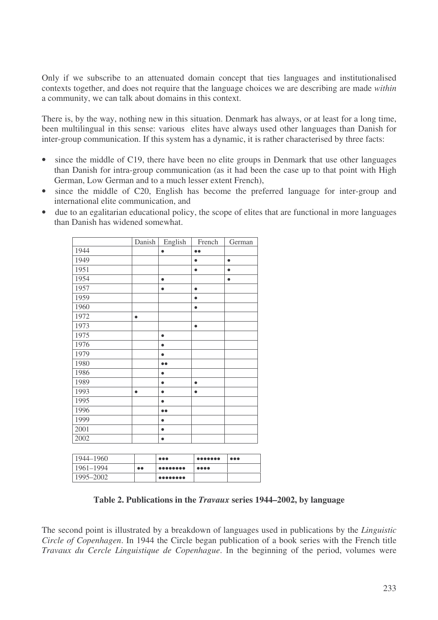Only if we subscribe to an attenuated domain concept that ties languages and institutionalised contexts together, and does not require that the language choices we are describing are made *within* a community, we can talk about domains in this context.

There is, by the way, nothing new in this situation. Denmark has always, or at least for a long time, been multilingual in this sense: various elites have always used other languages than Danish for inter-group communication. If this system has a dynamic, it is rather characterised by three facts:

- since the middle of C19, there have been no elite groups in Denmark that use other languages than Danish for intra-group communication (as it had been the case up to that point with High German, Low German and to a much lesser extent French),
- since the middle of C20, English has become the preferred language for inter-group and international elite communication, and
- due to an egalitarian educational policy, the scope of elites that are functional in more languages than Danish has widened somewhat.

|      | Danish    | English          | French           | German    |
|------|-----------|------------------|------------------|-----------|
| 1944 |           | $\bullet$        | $\bullet\bullet$ |           |
| 1949 |           |                  | $\bullet$        | $\bullet$ |
| 1951 |           |                  | $\bullet$        | $\bullet$ |
| 1954 |           | $\bullet$        |                  | $\bullet$ |
| 1957 |           | $\bullet$        | $\bullet$        |           |
| 1959 |           |                  | $\bullet$        |           |
| 1960 |           |                  | $\bullet$        |           |
| 1972 | $\bullet$ |                  |                  |           |
| 1973 |           |                  | $\bullet$        |           |
| 1975 |           | $\bullet$        |                  |           |
| 1976 |           | $\bullet$        |                  |           |
| 1979 |           |                  |                  |           |
| 1980 |           | $\bullet\bullet$ |                  |           |
| 1986 |           | $\bullet$        |                  |           |
| 1989 |           |                  | $\bullet$        |           |
| 1993 | $\bullet$ | $\bullet$        | $\bullet$        |           |
| 1995 |           | $\bullet$        |                  |           |
| 1996 |           |                  |                  |           |
| 1999 |           | $\bullet$        |                  |           |
| 2001 |           | $\bullet$        |                  |           |
| 2002 |           |                  |                  |           |
|      |           |                  |                  |           |

| 1944–1960     |                  | $\bullet\bullet\bullet$                                                | $\begin{array}{lllllllllll} \bullet\bullet\bullet\bullet\bullet\bullet\bullet\bullet\bullet \end{array}$ | <b>.</b> |
|---------------|------------------|------------------------------------------------------------------------|----------------------------------------------------------------------------------------------------------|----------|
| $1961 - 1994$ | $\bullet\bullet$ | $  \; \bullet \bullet \bullet \bullet \bullet \bullet \bullet \bullet$ | $\bullet\bullet\bullet\bullet$                                                                           |          |
| 1995-2002     |                  | $••••••••••$                                                           |                                                                                                          |          |

#### **Table 2. Publications in the** *Travaux* **series 1944–2002, by language**

The second point is illustrated by a breakdown of languages used in publications by the *Linguistic Circle of Copenhagen*. In 1944 the Circle began publication of a book series with the French title *Travaux du Cercle Linguistique de Copenhague*. In the beginning of the period, volumes were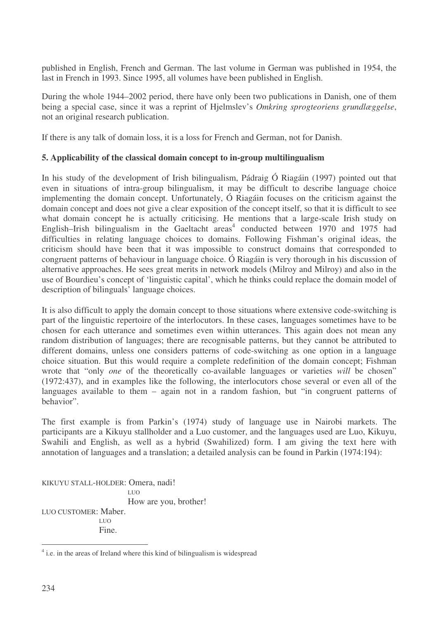published in English, French and German. The last volume in German was published in 1954, the last in French in 1993. Since 1995, all volumes have been published in English.

During the whole 1944–2002 period, there have only been two publications in Danish, one of them being a special case, since it was a reprint of Hjelmslev's *Omkring sprogteoriens grundlæggelse*, not an original research publication.

If there is any talk of domain loss, it is a loss for French and German, not for Danish.

#### **5. Applicability of the classical domain concept to in-group multilingualism**

In his study of the development of Irish bilingualism, Pádraig Ó Riagáin (1997) pointed out that even in situations of intra-group bilingualism, it may be difficult to describe language choice implementing the domain concept. Unfortunately, Ó Riagáin focuses on the criticism against the domain concept and does not give a clear exposition of the concept itself, so that it is difficult to see what domain concept he is actually criticising. He mentions that a large-scale Irish study on English–Irish bilingualism in the Gaeltacht areas 4 conducted between 1970 and 1975 had difficulties in relating language choices to domains. Following Fishman's original ideas, the criticism should have been that it was impossible to construct domains that corresponded to congruent patterns of behaviour in language choice. Ó Riagáin is very thorough in his discussion of alternative approaches. He sees great merits in network models (Milroy and Milroy) and also in the use of Bourdieu's concept of 'linguistic capital', which he thinks could replace the domain model of description of bilinguals' language choices.

It is also difficult to apply the domain concept to those situations where extensive code-switching is part of the linguistic repertoire of the interlocutors. In these cases, languages sometimes have to be chosen for each utterance and sometimes even within utterances. This again does not mean any random distribution of languages; there are recognisable patterns, but they cannot be attributed to different domains, unless one considers patterns of code-switching as one option in a language choice situation. But this would require a complete redefinition of the domain concept; Fishman wrote that "only *one* of the theoretically co-available languages or varieties *will* be chosen" (1972:437), and in examples like the following, the interlocutors chose several or even all of the languages available to them – again not in a random fashion, but "in congruent patterns of behavior".

The first example is from Parkin's (1974) study of language use in Nairobi markets. The participants are a Kikuyu stallholder and a Luo customer, and the languages used are Luo, Kikuyu, Swahili and English, as well as a hybrid (Swahilized) form. I am giving the text here with annotation of languages and a translation; a detailed analysis can be found in Parkin (1974:194):

KIKUYU STALL-HOLDER: Omera, nadi! LUO How are you, brother! LUO CUSTOMER: Maber. LUO Fine.

<sup>&</sup>lt;sup>4</sup> i.e. in the areas of Ireland where this kind of bilingualism is widespread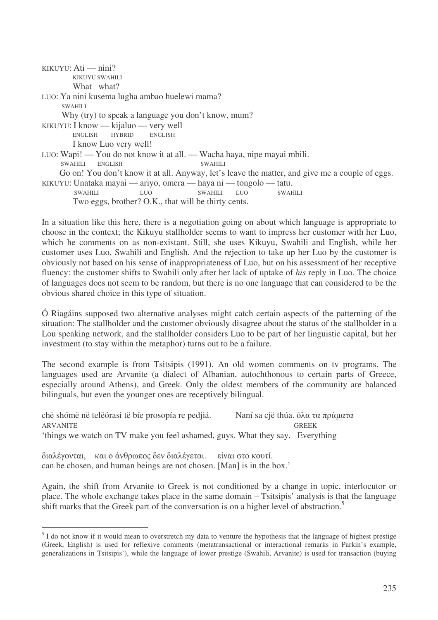KIKUYU: Ati — nini? KIKUYU SWAHILI What what? LUO: Ya nini kusema lugha ambao huelewi mama? SWAHILI Why (try) to speak a language you don't know, mum? KIKUYU: I know — kijaluo — very well ENGLISH HYBRID ENGLISH I know Luo very well! LUO: Wapi! –– You do not know it at all. –– Wacha haya, nipe mayai mbili. SWAHILI ENGLISH SWAHILI Go on! You don't know it at all. Anyway, let's leave the matter, and give me a couple of eggs. KIKUYU: Unataka mayai –– ariyo, omera –– haya ni –– tongolo –– tatu. SWAHILI LUO SWAHILI LUO SWAHILI Two eggs, brother? O.K., that will be thirty cents.

In a situation like this here, there is a negotiation going on about which language is appropriate to choose in the context; the Kikuyu stallholder seems to want to impress her customer with her Luo, which he comments on as non-existant. Still, she uses Kikuyu, Swahili and English, while her customer uses Luo, Swahili and English. And the rejection to take up her Luo by the customer is obviously not based on his sense of inappropriateness of Luo, but on his assessment of her receptive fluency: the customer shifts to Swahili only after her lack of uptake of *his* reply in Luo. The choice of languages does not seem to be random, but there is no one language that can considered to be the obvious shared choice in this type of situation.

Ó Riagáins supposed two alternative analyses might catch certain aspects of the patterning of the situation: The stallholder and the customer obviously disagree about the status of the stallholder in a Lou speaking network, and the stallholder considers Luo to be part of her linguistic capital, but her investment (to stay within the metaphor) turns out to be a failure.

The second example is from Tsitsipis (1991). An old women comments on tv programs. The languages used are Arvanite (a dialect of Albanian, autochthonous to certain parts of Greece, especially around Athens), and Greek. Only the oldest members of the community are balanced bilinguals, but even the younger ones are receptively bilingual.

chë shómë në telëórasi të bíe prosopía re pedjiá. Naní sa cië thúa. όλα τα πράματα ARVANITE GREEK GREEK 'things we watch on TV make you feel ashamed, guys. What they say. Everything

διαλέγονται, και ο άνθρωπος δεν διαλέγεται. . είναι στο κουτί. can be chosen, and human beings are not chosen. [Man] is in the box.'

Again, the shift from Arvanite to Greek is not conditioned by a change in topic, interlocutor or place. The whole exchange takes place in the same domain – Tsitsipis' analysis is that the language shift marks that the Greek part of the conversation is on a higher level of abstraction.<sup>5</sup>

<sup>&</sup>lt;sup>5</sup> I do not know if it would mean to overstretch my data to venture the hypothesis that the language of highest prestige (Greek, English) is used for reflexive comments (metatransactional or interactional remarks in Parkin's example, generalizations in Tsitsipis'), while the language of lower prestige (Swahili, Arvanite) is used for transaction (buying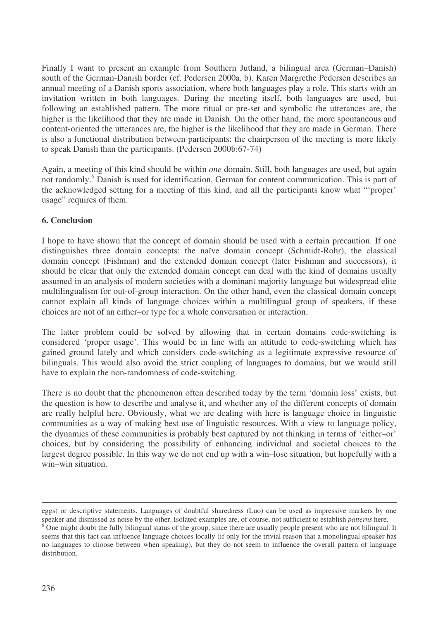Finally I want to present an example from Southern Jutland, a bilingual area (German–Danish) south of the German-Danish border (cf. Pedersen 2000a, b). Karen Margrethe Pedersen describes an annual meeting of a Danish sports association, where both languages play a role. This starts with an invitation written in both languages. During the meeting itself, both languages are used, but following an established pattern. The more ritual or pre-set and symbolic the utterances are, the higher is the likelihood that they are made in Danish. On the other hand, the more spontaneous and content-oriented the utterances are, the higher is the likelihood that they are made in German. There is also a functional distribution between participants: the chairperson of the meeting is more likely to speak Danish than the participants. (Pedersen 2000b:67-74)

Again, a meeting of this kind should be within *one* domain. Still, both languages are used, but again not randomly.<sup>6</sup> Danish is used for identification, German for content communication. This is part of the acknowledged setting for a meeting of this kind, and all the participants know what "'proper' usage" requires of them.

## **6. Conclusion**

I hope to have shown that the concept of domain should be used with a certain precaution. If one distinguishes three domain concepts: the naïve domain concept (Schmidt-Rohr), the classical domain concept (Fishman) and the extended domain concept (later Fishman and successors), it should be clear that only the extended domain concept can deal with the kind of domains usually assumed in an analysis of modern societies with a dominant majority language but widespread elite multilingualism for out-of-group interaction. On the other hand, even the classical domain concept cannot explain all kinds of language choices within a multilingual group of speakers, if these choices are not of an either–or type for a whole conversation or interaction.

The latter problem could be solved by allowing that in certain domains code-switching is considered 'proper usage'. This would be in line with an attitude to code-switching which has gained ground lately and which considers code-switching as a legitimate expressive resource of bilinguals. This would also avoid the strict coupling of languages to domains, but we would still have to explain the non-randomness of code-switching.

There is no doubt that the phenomenon often described today by the term 'domain loss' exists, but the question is how to describe and analyse it, and whether any of the different concepts of domain are really helpful here. Obviously, what we are dealing with here is language choice in linguistic communities as a way of making best use of linguistic resources. With a view to language policy, the dynamics of these communities is probably best captured by not thinking in terms of 'either–or' choices, but by considering the possibility of enhancing individual and societal choices to the largest degree possible. In this way we do not end up with a win–lose situation, but hopefully with a win–win situation.

eggs) or descriptive statements. Languages of doubtful sharedness (Luo) can be used as impressive markers by one speaker and dismissed as noise by the other. Isolated examples are, of course, not sufficient to establish *patterns* here.

 $\epsilon$  One might doubt the fully bilingual status of the group, since there are usually people present who are not bilingual. It seems that this fact can influence language choices locally (if only for the trivial reason that a monolingual speaker has no languages to choose between when speaking), but they do not seem to influence the overall pattern of language distribution.